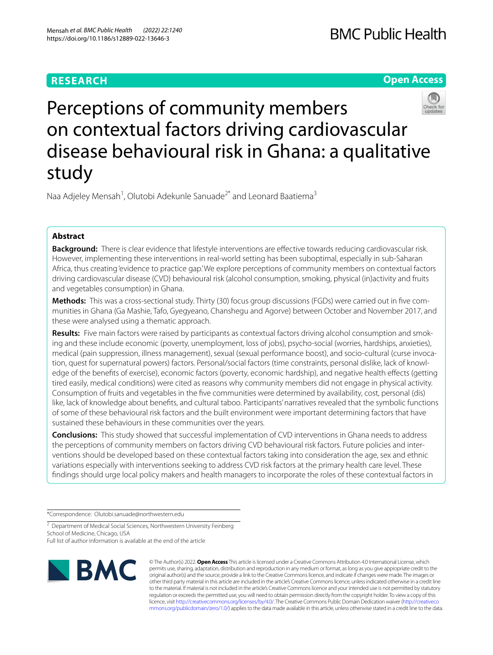# **RESEARCH**

**Open Access**



# Perceptions of community members on contextual factors driving cardiovascular disease behavioural risk in Ghana: a qualitative study

Naa Adjeley Mensah<sup>1</sup>, Olutobi Adekunle Sanuade<sup>2\*</sup> and Leonard Baatiema<sup>3</sup>

# **Abstract**

**Background:** There is clear evidence that lifestyle interventions are efective towards reducing cardiovascular risk. However, implementing these interventions in real-world setting has been suboptimal, especially in sub-Saharan Africa, thus creating 'evidence to practice gap.' We explore perceptions of community members on contextual factors driving cardiovascular disease (CVD) behavioural risk (alcohol consumption, smoking, physical (in)activity and fruits and vegetables consumption) in Ghana.

**Methods:** This was a cross-sectional study. Thirty (30) focus group discussions (FGDs) were carried out in fve communities in Ghana (Ga Mashie, Tafo, Gyegyeano, Chanshegu and Agorve) between October and November 2017, and these were analysed using a thematic approach.

**Results:** Five main factors were raised by participants as contextual factors driving alcohol consumption and smoking and these include economic (poverty, unemployment, loss of jobs), psycho-social (worries, hardships, anxieties), medical (pain suppression, illness management), sexual (sexual performance boost), and socio-cultural (curse invocation, quest for supernatural powers) factors. Personal/social factors (time constraints, personal dislike, lack of knowledge of the benefts of exercise), economic factors (poverty, economic hardship), and negative health efects (getting tired easily, medical conditions) were cited as reasons why community members did not engage in physical activity. Consumption of fruits and vegetables in the fve communities were determined by availability, cost, personal (dis) like, lack of knowledge about benefts, and cultural taboo. Participants' narratives revealed that the symbolic functions of some of these behavioural risk factors and the built environment were important determining factors that have sustained these behaviours in these communities over the years.

**Conclusions:** This study showed that successful implementation of CVD interventions in Ghana needs to address the perceptions of community members on factors driving CVD behavioural risk factors. Future policies and interventions should be developed based on these contextual factors taking into consideration the age, sex and ethnic variations especially with interventions seeking to address CVD risk factors at the primary health care level. These fndings should urge local policy makers and health managers to incorporate the roles of these contextual factors in

\*Correspondence: Olutobi.sanuade@northwestern.edu

<sup>2</sup> Department of Medical Social Sciences, Northwestern University Feinberg School of Medicine, Chicago, USA

Full list of author information is available at the end of the article



© The Author(s) 2022. **Open Access** This article is licensed under a Creative Commons Attribution 4.0 International License, which permits use, sharing, adaptation, distribution and reproduction in any medium or format, as long as you give appropriate credit to the original author(s) and the source, provide a link to the Creative Commons licence, and indicate if changes were made. The images or other third party material in this article are included in the article's Creative Commons licence, unless indicated otherwise in a credit line to the material. If material is not included in the article's Creative Commons licence and your intended use is not permitted by statutory regulation or exceeds the permitted use, you will need to obtain permission directly from the copyright holder. To view a copy of this licence, visit [http://creativecommons.org/licenses/by/4.0/.](http://creativecommons.org/licenses/by/4.0/) The Creative Commons Public Domain Dedication waiver ([http://creativeco](http://creativecommons.org/publicdomain/zero/1.0/) [mmons.org/publicdomain/zero/1.0/](http://creativecommons.org/publicdomain/zero/1.0/)) applies to the data made available in this article, unless otherwise stated in a credit line to the data.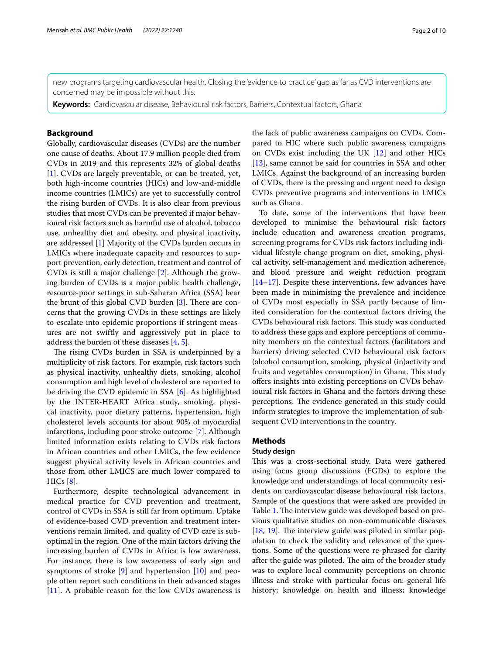new programs targeting cardiovascular health. Closing the 'evidence to practice' gap as far as CVD interventions are concerned may be impossible without this.

**Keywords:** Cardiovascular disease, Behavioural risk factors, Barriers, Contextual factors, Ghana

# **Background**

Globally, cardiovascular diseases (CVDs) are the number one cause of deaths. About 17.9 million people died from CVDs in 2019 and this represents 32% of global deaths [[1\]](#page-8-0). CVDs are largely preventable, or can be treated, yet, both high-income countries (HICs) and low-and-middle income countries (LMICs) are yet to successfully control the rising burden of CVDs. It is also clear from previous studies that most CVDs can be prevented if major behavioural risk factors such as harmful use of alcohol, tobacco use, unhealthy diet and obesity, and physical inactivity, are addressed [\[1](#page-8-0)] Majority of the CVDs burden occurs in LMICs where inadequate capacity and resources to support prevention, early detection, treatment and control of CVDs is still a major challenge [[2\]](#page-8-1). Although the growing burden of CVDs is a major public health challenge, resource-poor settings in sub-Saharan Africa (SSA) bear the brunt of this global CVD burden  $[3]$  $[3]$ . There are concerns that the growing CVDs in these settings are likely to escalate into epidemic proportions if stringent measures are not swiftly and aggressively put in place to address the burden of these diseases [[4](#page-8-3), [5\]](#page-8-4).

The rising CVDs burden in SSA is underpinned by a multiplicity of risk factors. For example, risk factors such as physical inactivity, unhealthy diets, smoking, alcohol consumption and high level of cholesterol are reported to be driving the CVD epidemic in SSA [[6\]](#page-8-5). As highlighted by the INTER-HEART Africa study, smoking, physical inactivity, poor dietary patterns, hypertension, high cholesterol levels accounts for about 90% of myocardial infarctions, including poor stroke outcome [[7\]](#page-8-6). Although limited information exists relating to CVDs risk factors in African countries and other LMICs, the few evidence suggest physical activity levels in African countries and those from other LMICS are much lower compared to HICs [[8\]](#page-8-7).

Furthermore, despite technological advancement in medical practice for CVD prevention and treatment, control of CVDs in SSA is still far from optimum. Uptake of evidence-based CVD prevention and treatment interventions remain limited, and quality of CVD care is suboptimal in the region. One of the main factors driving the increasing burden of CVDs in Africa is low awareness. For instance, there is low awareness of early sign and symptoms of stroke [[9\]](#page-8-8) and hypertension [[10](#page-8-9)] and people often report such conditions in their advanced stages [[11\]](#page-8-10). A probable reason for the low CVDs awareness is the lack of public awareness campaigns on CVDs. Compared to HIC where such public awareness campaigns on CVDs exist including the UK [[12\]](#page-8-11) and other HICs [[13\]](#page-8-12), same cannot be said for countries in SSA and other LMICs. Against the background of an increasing burden of CVDs, there is the pressing and urgent need to design CVDs preventive programs and interventions in LMICs such as Ghana.

To date, some of the interventions that have been developed to minimise the behavioural risk factors include education and awareness creation programs, screening programs for CVDs risk factors including individual lifestyle change program on diet, smoking, physical activity, self-management and medication adherence, and blood pressure and weight reduction program [[14–](#page-8-13)[17\]](#page-8-14). Despite these interventions, few advances have been made in minimising the prevalence and incidence of CVDs most especially in SSA partly because of limited consideration for the contextual factors driving the CVDs behavioural risk factors. This study was conducted to address these gaps and explore perceptions of community members on the contextual factors (facilitators and barriers) driving selected CVD behavioural risk factors (alcohol consumption, smoking, physical (in)activity and fruits and vegetables consumption) in Ghana. This study offers insights into existing perceptions on CVDs behavioural risk factors in Ghana and the factors driving these perceptions. The evidence generated in this study could inform strategies to improve the implementation of subsequent CVD interventions in the country.

# **Methods**

# **Study design**

This was a cross-sectional study. Data were gathered using focus group discussions (FGDs) to explore the knowledge and understandings of local community residents on cardiovascular disease behavioural risk factors. Sample of the questions that were asked are provided in Table [1](#page-2-0). The interview guide was developed based on previous qualitative studies on non-communicable diseases  $[18, 19]$  $[18, 19]$  $[18, 19]$  $[18, 19]$ . The interview guide was piloted in similar population to check the validity and relevance of the questions. Some of the questions were re-phrased for clarity after the guide was piloted. The aim of the broader study was to explore local community perceptions on chronic illness and stroke with particular focus on: general life history; knowledge on health and illness; knowledge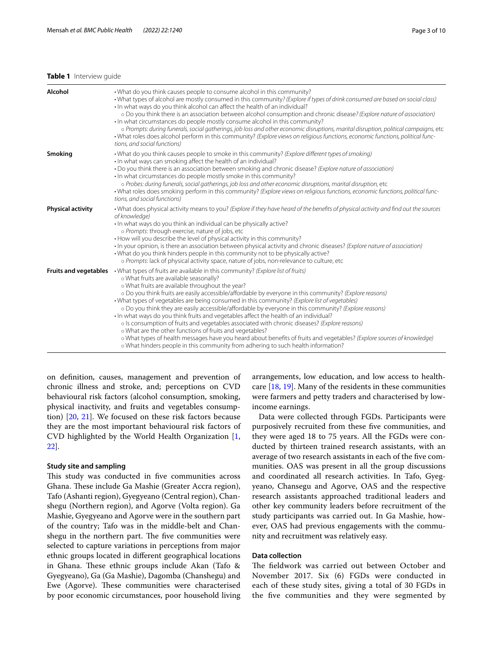# <span id="page-2-0"></span>**Table 1** Interview guide

| Alcohol                  | . What do you think causes people to consume alcohol in this community?<br>• What types of alcohol are mostly consumed in this community? (Explore if types of drink consumed are based on social class)<br>• In what ways do you think alcohol can affect the health of an individual?<br>o Do you think there is an association between alcohol consumption and chronic disease? (Explore nature of association)<br>• In what circumstances do people mostly consume alcohol in this community?<br>o Prompts: during funerals, social gatherings, job loss and other economic disruptions, marital disruption, political campaigns, etc.<br>-What roles does alcohol perform in this community? (Explore views on religious functions, economic functions, political func-<br>tions, and social functions)                                                                                                                                                                                                 |
|--------------------------|--------------------------------------------------------------------------------------------------------------------------------------------------------------------------------------------------------------------------------------------------------------------------------------------------------------------------------------------------------------------------------------------------------------------------------------------------------------------------------------------------------------------------------------------------------------------------------------------------------------------------------------------------------------------------------------------------------------------------------------------------------------------------------------------------------------------------------------------------------------------------------------------------------------------------------------------------------------------------------------------------------------|
| Smoking                  | • What do you think causes people to smoke in this community? (Explore different types of smoking)<br>• In what ways can smoking affect the health of an individual?<br>• Do you think there is an association between smoking and chronic disease? (Explore nature of association)<br>· In what circumstances do people mostly smoke in this community?<br>o Probes: during funerals, social gatherings, job loss and other economic disruptions, marital disruption, etc<br>· What roles does smoking perform in this community? (Explore views on religious functions, economic functions, political func-<br>tions, and social functions)                                                                                                                                                                                                                                                                                                                                                                |
| <b>Physical activity</b> | • What does physical activity means to you? (Explore if they have heard of the benefits of physical activity and find out the sources<br>of knowledge)<br>· In what ways do you think an individual can be physically active?<br>o Prompts: through exercise, nature of jobs, etc<br>• How will you describe the level of physical activity in this community?<br>· In your opinion, is there an association between physical activity and chronic diseases? (Explore nature of association)<br>• What do you think hinders people in this community not to be physically active?<br>o Prompts: lack of physical activity space, nature of jobs, non-relevance to culture, etc                                                                                                                                                                                                                                                                                                                               |
|                          | <b>Fruits and vegetables</b> $\cdot$ What types of fruits are available in this community? (Explore list of fruits)<br>o What fruits are available seasonally?<br>o What fruits are available throughout the year?<br>o Do you think fruits are easily accessible/affordable by everyone in this community? (Explore reasons)<br>• What types of vegetables are being consumed in this community? (Explore list of vegetables)<br>o Do you think they are easily accessible/affordable by everyone in this community? (Explore reasons)<br>· In what ways do you think fruits and vegetables affect the health of an individual?<br>o Is consumption of fruits and vegetables associated with chronic diseases? (Explore reasons)<br>o What are the other functions of fruits and vegetables?<br>o What types of health messages have you heard about benefits of fruits and vegetables? (Explore sources of knowledge)<br>o What hinders people in this community from adhering to such health information? |

on defnition, causes, management and prevention of chronic illness and stroke, and; perceptions on CVD behavioural risk factors (alcohol consumption, smoking, physical inactivity, and fruits and vegetables consumption) [[20,](#page-8-17) [21](#page-8-18)]. We focused on these risk factors because they are the most important behavioural risk factors of CVD highlighted by the World Health Organization [\[1](#page-8-0), [22\]](#page-8-19).

# **Study site and sampling**

This study was conducted in five communities across Ghana. These include Ga Mashie (Greater Accra region), Tafo (Ashanti region), Gyegyeano (Central region), Chanshegu (Northern region), and Agorve (Volta region). Ga Mashie, Gyegyeano and Agorve were in the southern part of the country; Tafo was in the middle-belt and Chanshegu in the northern part. The five communities were selected to capture variations in perceptions from major ethnic groups located in diferent geographical locations in Ghana. These ethnic groups include Akan (Tafo  $\&$ Gyegyeano), Ga (Ga Mashie), Dagomba (Chanshegu) and Ewe (Agorve). These communities were characterised by poor economic circumstances, poor household living arrangements, low education, and low access to healthcare [\[18](#page-8-15), [19\]](#page-8-16). Many of the residents in these communities were farmers and petty traders and characterised by lowincome earnings.

Data were collected through FGDs. Participants were purposively recruited from these fve communities, and they were aged 18 to 75 years. All the FGDs were conducted by thirteen trained research assistants, with an average of two research assistants in each of the fve communities. OAS was present in all the group discussions and coordinated all research activities. In Tafo, Gyegyeano, Chansegu and Agorve, OAS and the respective research assistants approached traditional leaders and other key community leaders before recruitment of the study participants was carried out. In Ga Mashie, however, OAS had previous engagements with the community and recruitment was relatively easy.

# **Data collection**

The fieldwork was carried out between October and November 2017. Six (6) FGDs were conducted in each of these study sites, giving a total of 30 FGDs in the fve communities and they were segmented by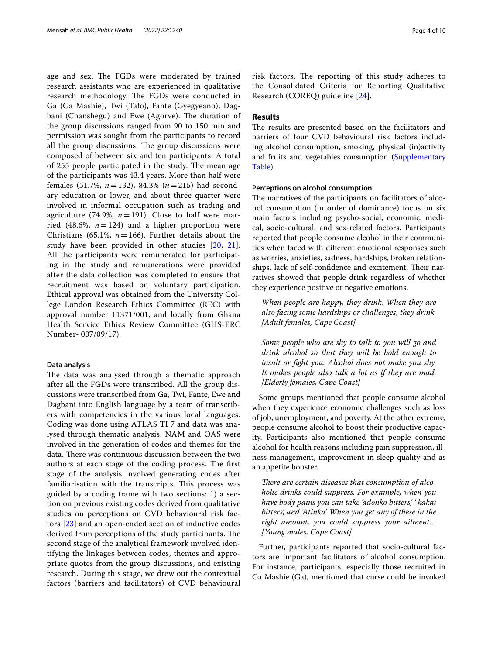age and sex. The FGDs were moderated by trained research assistants who are experienced in qualitative research methodology. The FGDs were conducted in Ga (Ga Mashie), Twi (Tafo), Fante (Gyegyeano), Dagbani (Chanshegu) and Ewe (Agorve). The duration of the group discussions ranged from 90 to 150 min and permission was sought from the participants to record all the group discussions. The group discussions were composed of between six and ten participants. A total of 255 people participated in the study. The mean age of the participants was 43.4 years. More than half were females (51.7%, *n*=132), 84.3% (*n*=215) had secondary education or lower, and about three-quarter were involved in informal occupation such as trading and agriculture (74.9%,  $n = 191$ ). Close to half were married (48.6%,  $n=124$ ) and a higher proportion were Christians (65.1%,  $n=166$ ). Further details about the study have been provided in other studies [\[20](#page-8-17), [21\]](#page-8-18). All the participants were remunerated for participating in the study and remunerations were provided after the data collection was completed to ensure that recruitment was based on voluntary participation. Ethical approval was obtained from the University College London Research Ethics Committee (REC) with approval number 11371/001, and locally from Ghana Health Service Ethics Review Committee (GHS-ERC Number- 007/09/17).

# **Data analysis**

The data was analysed through a thematic approach after all the FGDs were transcribed. All the group discussions were transcribed from Ga, Twi, Fante, Ewe and Dagbani into English language by a team of transcribers with competencies in the various local languages. Coding was done using ATLAS TI 7 and data was analysed through thematic analysis. NAM and OAS were involved in the generation of codes and themes for the data. There was continuous discussion between the two authors at each stage of the coding process. The first stage of the analysis involved generating codes after familiarisation with the transcripts. This process was guided by a coding frame with two sections: 1) a section on previous existing codes derived from qualitative studies on perceptions on CVD behavioural risk factors [\[23](#page-8-20)] and an open-ended section of inductive codes derived from perceptions of the study participants. The second stage of the analytical framework involved identifying the linkages between codes, themes and appropriate quotes from the group discussions, and existing research. During this stage, we drew out the contextual factors (barriers and facilitators) of CVD behavioural risk factors. The reporting of this study adheres to the Consolidated Criteria for Reporting Qualitative Research (COREQ) guideline [\[24\]](#page-8-21).

# **Results**

The results are presented based on the facilitators and barriers of four CVD behavioural risk factors including alcohol consumption, smoking, physical (in)activity and fruits and vegetables consumption [\(Supplementary](#page-8-22)  [Table\)](#page-8-22).

# **Perceptions on alcohol consumption**

The narratives of the participants on facilitators of alcohol consumption (in order of dominance) focus on six main factors including psycho-social, economic, medical, socio-cultural, and sex-related factors. Participants reported that people consume alcohol in their communities when faced with diferent emotional responses such as worries, anxieties, sadness, hardships, broken relationships, lack of self-confidence and excitement. Their narratives showed that people drink regardless of whether they experience positive or negative emotions.

*When people are happy, they drink. When they are also facing some hardships or challenges, they drink. [Adult females, Cape Coast]*

*Some people who are shy to talk to you will go and drink alcohol so that they will be bold enough to insult or fght you. Alcohol does not make you shy. It makes people also talk a lot as if they are mad. [Elderly females, Cape Coast]*

Some groups mentioned that people consume alcohol when they experience economic challenges such as loss of job, unemployment, and poverty. At the other extreme, people consume alcohol to boost their productive capacity. Participants also mentioned that people consume alcohol for health reasons including pain suppression, illness management, improvement in sleep quality and as an appetite booster.

There are certain diseases that consumption of alco*holic drinks could suppress. For example, when you have body pains you can take 'adonko bitters,' ' kakai bitters', and 'Atinka'. When you get any of these in the right amount, you could suppress your ailment… [Young males, Cape Coast]*

Further, participants reported that socio-cultural factors are important facilitators of alcohol consumption. For instance, participants, especially those recruited in Ga Mashie (Ga), mentioned that curse could be invoked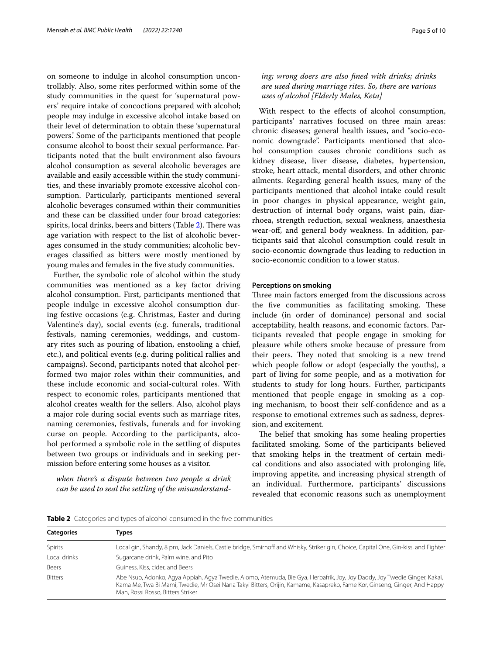on someone to indulge in alcohol consumption uncontrollably. Also, some rites performed within some of the study communities in the quest for 'supernatural powers' require intake of concoctions prepared with alcohol; people may indulge in excessive alcohol intake based on their level of determination to obtain these 'supernatural powers.' Some of the participants mentioned that people consume alcohol to boost their sexual performance. Participants noted that the built environment also favours alcohol consumption as several alcoholic beverages are available and easily accessible within the study communities, and these invariably promote excessive alcohol consumption. Particularly, participants mentioned several alcoholic beverages consumed within their communities and these can be classifed under four broad categories: spirits, local drinks, beers and bitters (Table [2\)](#page-4-0). There was age variation with respect to the list of alcoholic beverages consumed in the study communities; alcoholic beverages classifed as bitters were mostly mentioned by young males and females in the fve study communities.

Further, the symbolic role of alcohol within the study communities was mentioned as a key factor driving alcohol consumption. First, participants mentioned that people indulge in excessive alcohol consumption during festive occasions (e.g. Christmas, Easter and during Valentine's day), social events (e.g. funerals, traditional festivals, naming ceremonies, weddings, and customary rites such as pouring of libation, enstooling a chief, etc.), and political events (e.g. during political rallies and campaigns). Second, participants noted that alcohol performed two major roles within their communities, and these include economic and social-cultural roles. With respect to economic roles, participants mentioned that alcohol creates wealth for the sellers. Also, alcohol plays a major role during social events such as marriage rites, naming ceremonies, festivals, funerals and for invoking curse on people. According to the participants, alcohol performed a symbolic role in the settling of disputes between two groups or individuals and in seeking permission before entering some houses as a visitor.

*when there's a dispute between two people a drink can be used to seal the settling of the misunderstand-*

# *ing; wrong doers are also fned with drinks; drinks are used during marriage rites. So, there are various uses of alcohol [Elderly Males, Keta]*

With respect to the efects of alcohol consumption, participants' narratives focused on three main areas: chronic diseases; general health issues, and "socio-economic downgrade". Participants mentioned that alcohol consumption causes chronic conditions such as kidney disease, liver disease, diabetes, hypertension, stroke, heart attack, mental disorders, and other chronic ailments. Regarding general health issues, many of the participants mentioned that alcohol intake could result in poor changes in physical appearance, weight gain, destruction of internal body organs, waist pain, diarrhoea, strength reduction, sexual weakness, anaesthesia wear-of, and general body weakness. In addition, participants said that alcohol consumption could result in socio-economic downgrade thus leading to reduction in socio-economic condition to a lower status.

# **Perceptions on smoking**

Three main factors emerged from the discussions across the five communities as facilitating smoking. These include (in order of dominance) personal and social acceptability, health reasons, and economic factors. Participants revealed that people engage in smoking for pleasure while others smoke because of pressure from their peers. They noted that smoking is a new trend which people follow or adopt (especially the youths), a part of living for some people, and as a motivation for students to study for long hours. Further, participants mentioned that people engage in smoking as a coping mechanism, to boost their self-confdence and as a response to emotional extremes such as sadness, depression, and excitement.

The belief that smoking has some healing properties facilitated smoking. Some of the participants believed that smoking helps in the treatment of certain medical conditions and also associated with prolonging life, improving appetite, and increasing physical strength of an individual. Furthermore, participants' discussions revealed that economic reasons such as unemployment

| <b>Categories</b> | Types                                                                                                                                                                                                                                                                                       |
|-------------------|---------------------------------------------------------------------------------------------------------------------------------------------------------------------------------------------------------------------------------------------------------------------------------------------|
| Spirits           | Local gin, Shandy, 8 pm, Jack Daniels, Castle bridge, Smirnoff and Whisky, Striker gin, Choice, Capital One, Gin-kiss, and Fighter                                                                                                                                                          |
| Local drinks      | Sugarcane drink, Palm wine, and Pito                                                                                                                                                                                                                                                        |
| Beers             | Guiness, Kiss, cider, and Beers                                                                                                                                                                                                                                                             |
| <b>Bitters</b>    | Abe Nsuo, Adonko, Agya Appiah, Agya Twedie, Alomo, Atemuda, Bie Gya, Herbafrik, Joy, Joy Daddy, Joy Twedie Ginger, Kakai,<br>Kama Me, Twa Bi Mami, Twedie, Mr Osei Nana Takyi Bitters, Orijin, Kamame, Kasapreko, Fame Kor, Ginseng, Ginger, And Happy<br>Man, Rossi Rosso, Bitters Striker |

<span id="page-4-0"></span>**Table 2** Categories and types of alcohol consumed in the five communities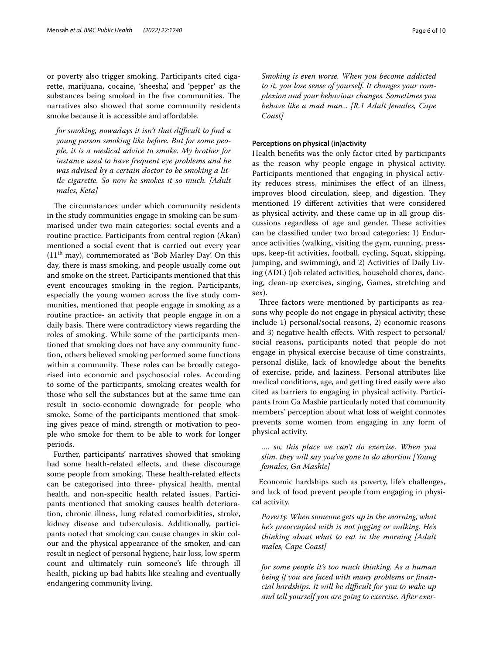or poverty also trigger smoking. Participants cited cigarette, marijuana, cocaine, 'sheesha', and 'pepper' as the substances being smoked in the five communities. The narratives also showed that some community residents smoke because it is accessible and affordable.

*for smoking, nowadays it isn't that difcult to fnd a young person smoking like before. But for some people, it is a medical advice to smoke. My brother for instance used to have frequent eye problems and he was advised by a certain doctor to be smoking a little cigarette. So now he smokes it so much. [Adult males, Keta]*

The circumstances under which community residents in the study communities engage in smoking can be summarised under two main categories: social events and a routine practice. Participants from central region (Akan) mentioned a social event that is carried out every year  $(11<sup>th</sup>$  may), commemorated as 'Bob Marley Day'. On this day, there is mass smoking, and people usually come out and smoke on the street. Participants mentioned that this event encourages smoking in the region. Participants, especially the young women across the five study communities, mentioned that people engage in smoking as a routine practice- an activity that people engage in on a daily basis. There were contradictory views regarding the roles of smoking. While some of the participants mentioned that smoking does not have any community function, others believed smoking performed some functions within a community. These roles can be broadly categorised into economic and psychosocial roles. According to some of the participants, smoking creates wealth for those who sell the substances but at the same time can result in socio-economic downgrade for people who smoke. Some of the participants mentioned that smoking gives peace of mind, strength or motivation to people who smoke for them to be able to work for longer periods.

Further, participants' narratives showed that smoking had some health-related efects, and these discourage some people from smoking. These health-related effects can be categorised into three- physical health, mental health, and non-specifc health related issues. Participants mentioned that smoking causes health deterioration, chronic illness, lung related comorbidities, stroke, kidney disease and tuberculosis. Additionally, participants noted that smoking can cause changes in skin colour and the physical appearance of the smoker, and can result in neglect of personal hygiene, hair loss, low sperm count and ultimately ruin someone's life through ill health, picking up bad habits like stealing and eventually endangering community living.

*Smoking is even worse. When you become addicted to it, you lose sense of yourself. It changes your complexion and your behaviour changes. Sometimes you behave like a mad man... [R.1 Adult females, Cape Coast]*

# **Perceptions on physical (in)activity**

Health benefts was the only factor cited by participants as the reason why people engage in physical activity. Participants mentioned that engaging in physical activity reduces stress, minimises the efect of an illness, improves blood circulation, sleep, and digestion. They mentioned 19 diferent activities that were considered as physical activity, and these came up in all group discussions regardless of age and gender. These activities can be classifed under two broad categories: 1) Endurance activities (walking, visiting the gym, running, pressups, keep-ft activities, football, cycling, Squat, skipping, jumping, and swimming), and 2) Activities of Daily Living (ADL) (job related activities, household chores, dancing, clean-up exercises, singing, Games, stretching and sex).

Three factors were mentioned by participants as reasons why people do not engage in physical activity; these include 1) personal/social reasons, 2) economic reasons and 3) negative health effects. With respect to personal/ social reasons, participants noted that people do not engage in physical exercise because of time constraints, personal dislike, lack of knowledge about the benefts of exercise, pride, and laziness. Personal attributes like medical conditions, age, and getting tired easily were also cited as barriers to engaging in physical activity. Participants from Ga Mashie particularly noted that community members' perception about what loss of weight connotes prevents some women from engaging in any form of physical activity.

*…. so, this place we can't do exercise. When you slim, they will say you've gone to do abortion [Young females, Ga Mashie]*

Economic hardships such as poverty, life's challenges, and lack of food prevent people from engaging in physical activity.

*Poverty. When someone gets up in the morning, what he's preoccupied with is not jogging or walking. He's thinking about what to eat in the morning [Adult males, Cape Coast]*

*for some people it's too much thinking. As a human being if you are faced with many problems or fnancial hardships. It will be difcult for you to wake up and tell yourself you are going to exercise. After exer-*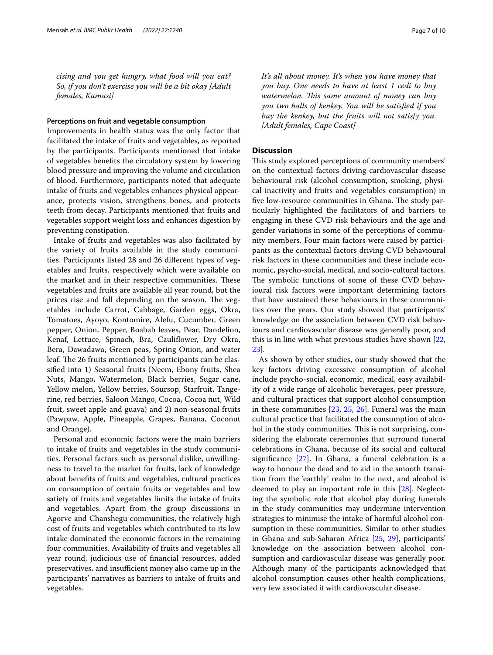*cising and you get hungry, what food will you eat? So, if you don't exercise you will be a bit okay [Adult females, Kumasi]*

## **Perceptions on fruit and vegetable consumption**

Improvements in health status was the only factor that facilitated the intake of fruits and vegetables, as reported by the participants. Participants mentioned that intake of vegetables benefts the circulatory system by lowering blood pressure and improving the volume and circulation of blood. Furthermore, participants noted that adequate intake of fruits and vegetables enhances physical appearance, protects vision, strengthens bones, and protects teeth from decay. Participants mentioned that fruits and vegetables support weight loss and enhances digestion by preventing constipation.

Intake of fruits and vegetables was also facilitated by the variety of fruits available in the study communities. Participants listed 28 and 26 diferent types of vegetables and fruits, respectively which were available on the market and in their respective communities. These vegetables and fruits are available all year round, but the prices rise and fall depending on the season. The vegetables include Carrot, Cabbage, Garden eggs, Okra, Tomatoes, Ayoyo, Kontomire, Alefu, Cucumber, Green pepper, Onion, Pepper, Boabab leaves, Pear, Dandelion, Kenaf, Lettuce, Spinach, Bra, Caulifower, Dry Okra, Bera, Dawadawa, Green peas, Spring Onion, and water leaf. The 26 fruits mentioned by participants can be classifed into 1) Seasonal fruits (Neem, Ebony fruits, Shea Nuts, Mango, Watermelon, Black berries, Sugar cane, Yellow melon, Yellow berries, Soursop, Starfruit, Tangerine, red berries, Saloon Mango, Cocoa, Cocoa nut, Wild fruit, sweet apple and guava) and 2) non-seasonal fruits (Pawpaw, Apple, Pineapple, Grapes, Banana, Coconut and Orange).

Personal and economic factors were the main barriers to intake of fruits and vegetables in the study communities. Personal factors such as personal dislike, unwillingness to travel to the market for fruits, lack of knowledge about benefts of fruits and vegetables, cultural practices on consumption of certain fruits or vegetables and low satiety of fruits and vegetables limits the intake of fruits and vegetables. Apart from the group discussions in Agorve and Chanshegu communities, the relatively high cost of fruits and vegetables which contributed to its low intake dominated the economic factors in the remaining four communities. Availability of fruits and vegetables all year round, judicious use of fnancial resources, added preservatives, and insufficient money also came up in the participants' narratives as barriers to intake of fruits and vegetables.

*It's all about money. It's when you have money that you buy. One needs to have at least 1 cedi to buy watermelon. Tis same amount of money can buy you two balls of kenkey. You will be satisfed if you buy the kenkey, but the fruits will not satisfy you. [Adult females, Cape Coast]*

# **Discussion**

This study explored perceptions of community members' on the contextual factors driving cardiovascular disease behavioural risk (alcohol consumption, smoking, physical inactivity and fruits and vegetables consumption) in five low-resource communities in Ghana. The study particularly highlighted the facilitators of and barriers to engaging in these CVD risk behaviours and the age and gender variations in some of the perceptions of community members. Four main factors were raised by participants as the contextual factors driving CVD behavioural risk factors in these communities and these include economic, psycho-social, medical, and socio-cultural factors. The symbolic functions of some of these CVD behavioural risk factors were important determining factors that have sustained these behaviours in these communities over the years. Our study showed that participants' knowledge on the association between CVD risk behaviours and cardiovascular disease was generally poor, and this is in line with what previous studies have shown [[22](#page-8-19), [23\]](#page-8-20).

As shown by other studies, our study showed that the key factors driving excessive consumption of alcohol include psycho-social, economic, medical, easy availability of a wide range of alcoholic beverages, peer pressure, and cultural practices that support alcohol consumption in these communities [\[23](#page-8-20), [25](#page-8-23), [26\]](#page-9-0). Funeral was the main cultural practice that facilitated the consumption of alcohol in the study communities. This is not surprising, considering the elaborate ceremonies that surround funeral celebrations in Ghana, because of its social and cultural signifcance [[27\]](#page-9-1). In Ghana, a funeral celebration is a way to honour the dead and to aid in the smooth transition from the 'earthly' realm to the next, and alcohol is deemed to play an important role in this [[28\]](#page-9-2). Neglecting the symbolic role that alcohol play during funerals in the study communities may undermine intervention strategies to minimise the intake of harmful alcohol consumption in these communities. Similar to other studies in Ghana and sub-Saharan Africa [[25,](#page-8-23) [29](#page-9-3)], participants' knowledge on the association between alcohol consumption and cardiovascular disease was generally poor. Although many of the participants acknowledged that alcohol consumption causes other health complications, very few associated it with cardiovascular disease.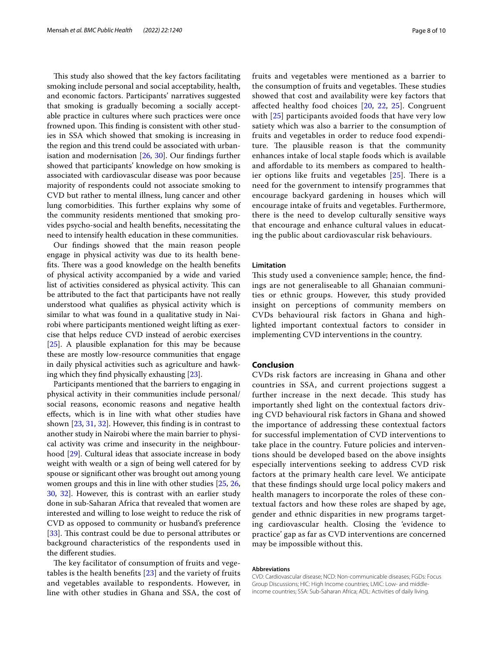This study also showed that the key factors facilitating smoking include personal and social acceptability, health, and economic factors. Participants' narratives suggested that smoking is gradually becoming a socially acceptable practice in cultures where such practices were once frowned upon. This finding is consistent with other studies in SSA which showed that smoking is increasing in the region and this trend could be associated with urbanisation and modernisation [[26,](#page-9-0) [30\]](#page-9-4). Our fndings further showed that participants' knowledge on how smoking is associated with cardiovascular disease was poor because majority of respondents could not associate smoking to CVD but rather to mental illness, lung cancer and other lung comorbidities. This further explains why some of the community residents mentioned that smoking provides psycho-social and health benefts, necessitating the need to intensify health education in these communities.

Our fndings showed that the main reason people engage in physical activity was due to its health benefits. There was a good knowledge on the health benefits of physical activity accompanied by a wide and varied list of activities considered as physical activity. This can be attributed to the fact that participants have not really understood what qualifes as physical activity which is similar to what was found in a qualitative study in Nairobi where participants mentioned weight lifting as exercise that helps reduce CVD instead of aerobic exercises [[25\]](#page-8-23). A plausible explanation for this may be because these are mostly low-resource communities that engage in daily physical activities such as agriculture and hawking which they fnd physically exhausting [\[23](#page-8-20)].

Participants mentioned that the barriers to engaging in physical activity in their communities include personal/ social reasons, economic reasons and negative health efects, which is in line with what other studies have shown [\[23](#page-8-20), [31,](#page-9-5) [32](#page-9-6)]. However, this fnding is in contrast to another study in Nairobi where the main barrier to physical activity was crime and insecurity in the neighbourhood [\[29](#page-9-3)]. Cultural ideas that associate increase in body weight with wealth or a sign of being well catered for by spouse or signifcant other was brought out among young women groups and this in line with other studies [[25,](#page-8-23) [26](#page-9-0), [30,](#page-9-4) [32\]](#page-9-6). However, this is contrast with an earlier study done in sub-Saharan Africa that revealed that women are interested and willing to lose weight to reduce the risk of CVD as opposed to community or husband's preference [[33\]](#page-9-7). This contrast could be due to personal attributes or background characteristics of the respondents used in the diferent studies.

The key facilitator of consumption of fruits and vegetables is the health benefts [\[23](#page-8-20)] and the variety of fruits and vegetables available to respondents. However, in line with other studies in Ghana and SSA, the cost of fruits and vegetables were mentioned as a barrier to the consumption of fruits and vegetables. These studies showed that cost and availability were key factors that afected healthy food choices [[20,](#page-8-17) [22](#page-8-19), [25](#page-8-23)]. Congruent with [[25\]](#page-8-23) participants avoided foods that have very low satiety which was also a barrier to the consumption of fruits and vegetables in order to reduce food expenditure. The plausible reason is that the community enhances intake of local staple foods which is available and afordable to its members as compared to healthier options like fruits and vegetables  $[25]$  $[25]$ . There is a need for the government to intensify programmes that encourage backyard gardening in houses which will encourage intake of fruits and vegetables. Furthermore, there is the need to develop culturally sensitive ways that encourage and enhance cultural values in educating the public about cardiovascular risk behaviours.

# **Limitation**

This study used a convenience sample; hence, the findings are not generaliseable to all Ghanaian communities or ethnic groups. However, this study provided insight on perceptions of community members on CVDs behavioural risk factors in Ghana and highlighted important contextual factors to consider in implementing CVD interventions in the country.

# **Conclusion**

CVDs risk factors are increasing in Ghana and other countries in SSA, and current projections suggest a further increase in the next decade. This study has importantly shed light on the contextual factors driving CVD behavioural risk factors in Ghana and showed the importance of addressing these contextual factors for successful implementation of CVD interventions to take place in the country. Future policies and interventions should be developed based on the above insights especially interventions seeking to address CVD risk factors at the primary health care level. We anticipate that these fndings should urge local policy makers and health managers to incorporate the roles of these contextual factors and how these roles are shaped by age, gender and ethnic disparities in new programs targeting cardiovascular health. Closing the 'evidence to practice' gap as far as CVD interventions are concerned may be impossible without this.

#### **Abbreviations**

CVD: Cardiovascular disease; NCD: Non-communicable diseases; FGDs: Focus Group Discussions; HIC: High Income countries; LMIC: Low- and middleincome countries; SSA: Sub-Saharan Africa; ADL: Activities of daily living.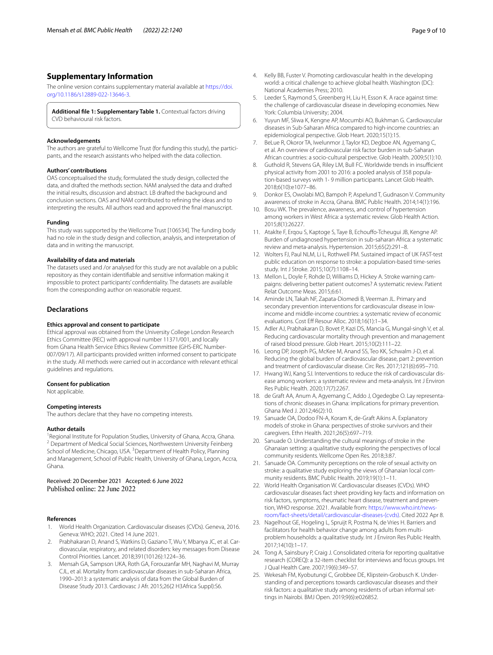# **Supplementary Information**

The online version contains supplementary material available at [https://doi.](https://doi.org/10.1186/s12889-022-13646-3) [org/10.1186/s12889-022-13646-3](https://doi.org/10.1186/s12889-022-13646-3).

<span id="page-8-22"></span>**Additional fle 1: Supplementary Table 1.** Contextual factors driving CVD behavioural risk factors.

#### **Acknowledgements**

The authors are grateful to Wellcome Trust (for funding this study), the participants, and the research assistants who helped with the data collection.

#### **Authors' contributions**

OAS conceptualised the study, formulated the study design, collected the data, and drafted the methods section. NAM analysed the data and drafted the initial results, discussion and abstract. LB drafted the background and conclusion sections. OAS and NAM contributed to refning the ideas and to interpreting the results. All authors read and approved the fnal manuscript.

#### **Funding**

This study was supported by the Wellcome Trust [106534]. The funding body had no role in the study design and collection, analysis, and interpretation of data and in writing the manuscript.

#### **Availability of data and materials**

The datasets used and /or analysed for this study are not available on a public repository as they contain identifable and sensitive information making it impossible to protect participants' confdentiality. The datasets are available from the corresponding author on reasonable request.

#### **Declarations**

#### **Ethics approval and consent to participate**

Ethical approval was obtained from the University College London Research Ethics Committee (REC) with approval number 11371/001, and locally from Ghana Health Service Ethics Review Committee (GHS-ERC Number-007/09/17). All participants provided written informed consent to participate in the study. All methods were carried out in accordance with relevant ethical guidelines and regulations.

#### **Consent for publication**

Not applicable.

#### **Competing interests**

The authors declare that they have no competing interests.

#### **Author details**

<sup>1</sup> Regional Institute for Population Studies, University of Ghana, Accra, Ghana.<br><sup>2</sup> Department of Medical Social Sciences, Northwestern University Feinherg. <sup>2</sup> Department of Medical Social Sciences, Northwestern University Feinberg School of Medicine, Chicago, USA. <sup>3</sup> Department of Health Policy, Planning and Management, School of Public Health, University of Ghana, Legon, Accra, Ghana.

Received: 20 December 2021 Accepted: 6 June 2022 Published online: 22 June 2022

#### **References**

- <span id="page-8-0"></span>1. World Health Organization. Cardiovascular diseases (CVDs). Geneva, 2016. Geneva: WHO; 2021. Cited 14 June 2021.
- <span id="page-8-1"></span>2. Prabhakaran D, Anand S, Watkins D, Gaziano T, Wu Y, Mbanya JC, et al. Cardiovascular, respiratory, and related disorders: key messages from Disease Control Priorities. Lancet. 2018;391(10126):1224–36.
- <span id="page-8-2"></span>3. Mensah GA, Sampson UKA, Roth GA, Forouzanfar MH, Naghavi M, Murray CJL, et al. Mortality from cardiovascular diseases in sub-Saharan Africa, 1990–2013: a systematic analysis of data from the Global Burden of Disease Study 2013. Cardiovasc J Afr. 2015;26(2 H3Africa Suppl):S6.
- <span id="page-8-3"></span>4. Kelly BB, Fuster V. Promoting cardiovascular health in the developing world: a critical challenge to achieve global health. Washington (DC): National Academies Press; 2010.
- <span id="page-8-4"></span>5. Leeder S, Raymond S, Greenberg H, Liu H, Esson K. A race against time: the challenge of cardiovascular disease in developing economies. New York: Columbia University; 2004.
- <span id="page-8-5"></span>6. Yuyun MF, Sliwa K, Kengne AP, Mocumbi AO, Bukhman G. Cardiovascular diseases in Sub-Saharan Africa compared to high-income countries: an epidemiological perspective. Glob Heart. 2020;15(1):15.
- <span id="page-8-6"></span>7. BeLue R, Okoror TA, Iwelunmor J, Taylor KD, Degboe AN, Agyemang C, et al. An overview of cardiovascular risk factor burden in sub-Saharan African countries: a socio-cultural perspective. Glob Health. 2009;5(1):10.
- <span id="page-8-7"></span>8. Guthold R, Stevens GA, Riley LM, Bull FC. Worldwide trends in insufficient physical activity from 2001 to 2016: a pooled analysis of 358 population-based surveys with 1· 9 million participants. Lancet Glob Health. 2018;6(10):e1077–86.
- <span id="page-8-8"></span>9. Donkor ES, Owolabi MO, Bampoh P, Aspelund T, Gudnason V. Community awareness of stroke in Accra, Ghana. BMC Public Health. 2014;14(1):196.
- <span id="page-8-9"></span>10. Bosu WK. The prevalence, awareness, and control of hypertension among workers in West Africa: a systematic review. Glob Health Action. 2015;8(1):26227.
- <span id="page-8-10"></span>11. Ataklte F, Erqou S, Kaptoge S, Taye B, Echoufo-Tcheugui JB, Kengne AP. Burden of undiagnosed hypertension in sub-saharan Africa: a systematic review and meta-analysis. Hypertension. 2015;65(2):291–8.
- <span id="page-8-11"></span>12. Wolters FJ, Paul NLM, Li L, Rothwell PM. Sustained impact of UK FAST-test public education on response to stroke: a population-based time-series study. Int J Stroke. 2015;10(7):1108–14.
- <span id="page-8-12"></span>13. Mellon L, Doyle F, Rohde D, Williams D, Hickey A. Stroke warning campaigns: delivering better patient outcomes? A systematic review. Patient Relat Outcome Meas. 2015;6:61.
- <span id="page-8-13"></span>14. Aminde LN, Takah NF, Zapata-Diomedi B, Veerman JL. Primary and secondary prevention interventions for cardiovascular disease in lowincome and middle-income countries: a systematic review of economic evaluations. Cost Eff Resour Alloc. 2018;16(1):1-34.
- 15. Adler AJ, Prabhakaran D, Bovet P, Kazi DS, Mancia G, Mungal-singh V, et al. Reducing cardiovascular mortality through prevention and management of raised blood pressure. Glob Heart. 2015;10(2):111–22.
- 16. Leong DP, Joseph PG, McKee M, Anand SS, Teo KK, Schwalm J-D, et al. Reducing the global burden of cardiovascular disease, part 2: prevention and treatment of cardiovascular disease. Circ Res. 2017;121(6):695–710.
- <span id="page-8-14"></span>17. Hwang WJ, Kang SJ. Interventions to reduce the risk of cardiovascular disease among workers: a systematic review and meta-analysis. Int J Environ Res Public Health. 2020;17(7):2267.
- <span id="page-8-15"></span>18. de Graft AA, Anum A, Agyemang C, Addo J, Ogedegbe O. Lay representations of chronic diseases in Ghana: implications for primary prevention. Ghana Med J. 2012;46(2):10.
- <span id="page-8-16"></span>19. Sanuade OA, Dodoo FN-A, Koram K, de-Graft Aikins A. Explanatory models of stroke in Ghana: perspectives of stroke survivors and their caregivers. Ethn Health. 2021;26(5):697–719.
- <span id="page-8-17"></span>20. Sanuade O. Understanding the cultural meanings of stroke in the Ghanaian setting: a qualitative study exploring the perspectives of local community residents. Wellcome Open Res. 2018;3:87.
- <span id="page-8-18"></span>21. Sanuade OA. Community perceptions on the role of sexual activity on stroke: a qualitative study exploring the views of Ghanaian local community residents. BMC Public Health. 2019;19(1):1–11.
- <span id="page-8-19"></span>22. World Health Organisation W. Cardiovascular diseases (CVDs). WHO cardiovascular diseases fact sheet providing key facts and information on risk factors, symptoms, rheumatic heart disease, treatment and prevention, WHO response. 2021. Available from: [https://www.who.int/news](https://www.who.int/news-room/fact-sheets/detail/cardiovascular-diseases-(cvds))[room/fact-sheets/detail/cardiovascular-diseases-\(cvds\).](https://www.who.int/news-room/fact-sheets/detail/cardiovascular-diseases-(cvds)) Cited 2022 Apr 8.
- <span id="page-8-20"></span>23. Nagelhout GE, Hogeling L, Spruijt R, Postma N, de Vries H. Barriers and facilitators for health behavior change among adults from multiproblem households: a qualitative study. Int J Environ Res Public Health. 2017;14(10):1–17.
- <span id="page-8-21"></span>24. Tong A, Sainsbury P, Craig J. Consolidated criteria for reporting qualitative research (COREQ): a 32-item checklist for interviews and focus groups. Int J Qual Health Care. 2007;19(6):349–57.
- <span id="page-8-23"></span>25. Wekesah FM, Kyobutungi C, Grobbee DE, Klipstein-Grobusch K. Understanding of and perceptions towards cardiovascular diseases and their risk factors: a qualitative study among residents of urban informal settings in Nairobi. BMJ Open. 2019;9(6):e026852.